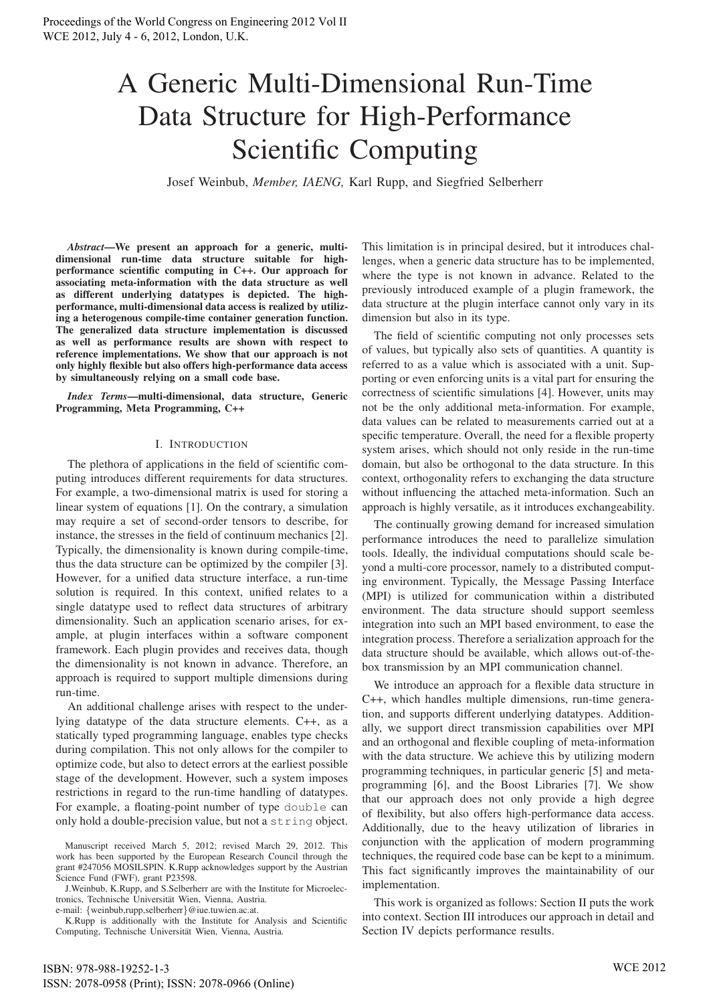# A Generic Multi-Dimensional Run-Time Data Structure for High-Performance Scientific Computing

Josef Weinbub, *Member, IAENG,* Karl Rupp, and Siegfried Selberherr

*Abstract***—We present an approach for a generic, multidimensional run-time data structure suitable for highperformance scientific computing in C++. Our approach for associating meta-information with the data structure as well as different underlying datatypes is depicted. The highperformance, multi-dimensional data access is realized by utilizing a heterogenous compile-time container generation function. The generalized data structure implementation is discussed as well as performance results are shown with respect to reference implementations. We show that our approach is not only highly flexible but also offers high-performance data access by simultaneously relying on a small code base.**

*Index Terms***—multi-dimensional, data structure, Generic Programming, Meta Programming, C++**

#### I. INTRODUCTION

The plethora of applications in the field of scientific computing introduces different requirements for data structures. For example, a two-dimensional matrix is used for storing a linear system of equations [1]. On the contrary, a simulation may require a set of second-order tensors to describe, for instance, the stresses in the field of continuum mechanics [2]. Typically, the dimensionality is known during compile-time, thus the data structure can be optimized by the compiler [3]. However, for a unified data structure interface, a run-time solution is required. In this context, unified relates to a single datatype used to reflect data structures of arbitrary dimensionality. Such an application scenario arises, for example, at plugin interfaces within a software component framework. Each plugin provides and receives data, though the dimensionality is not known in advance. Therefore, an approach is required to support multiple dimensions during run-time.

An additional challenge arises with respect to the underlying datatype of the data structure elements. C++, as a statically typed programming language, enables type checks during compilation. This not only allows for the compiler to optimize code, but also to detect errors at the earliest possible stage of the development. However, such a system imposes restrictions in regard to the run-time handling of datatypes. For example, a floating-point number of type double can only hold a double-precision value, but not a string object.

e-mail: {weinbub,rupp,selberherr}@iue.tuwien.ac.at.

This limitation is in principal desired, but it introduces challenges, when a generic data structure has to be implemented, where the type is not known in advance. Related to the previously introduced example of a plugin framework, the data structure at the plugin interface cannot only vary in its dimension but also in its type.

The field of scientific computing not only processes sets of values, but typically also sets of quantities. A quantity is referred to as a value which is associated with a unit. Supporting or even enforcing units is a vital part for ensuring the correctness of scientific simulations [4]. However, units may not be the only additional meta-information. For example, data values can be related to measurements carried out at a specific temperature. Overall, the need for a flexible property system arises, which should not only reside in the run-time domain, but also be orthogonal to the data structure. In this context, orthogonality refers to exchanging the data structure without influencing the attached meta-information. Such an approach is highly versatile, as it introduces exchangeability.

The continually growing demand for increased simulation performance introduces the need to parallelize simulation tools. Ideally, the individual computations should scale beyond a multi-core processor, namely to a distributed computing environment. Typically, the Message Passing Interface (MPI) is utilized for communication within a distributed environment. The data structure should support seemless integration into such an MPI based environment, to ease the integration process. Therefore a serialization approach for the data structure should be available, which allows out-of-thebox transmission by an MPI communication channel.

We introduce an approach for a flexible data structure in C++, which handles multiple dimensions, run-time generation, and supports different underlying datatypes. Additionally, we support direct transmission capabilities over MPI and an orthogonal and flexible coupling of meta-information with the data structure. We achieve this by utilizing modern programming techniques, in particular generic [5] and metaprogramming [6], and the Boost Libraries [7]. We show that our approach does not only provide a high degree of flexibility, but also offers high-performance data access. Additionally, due to the heavy utilization of libraries in conjunction with the application of modern programming techniques, the required code base can be kept to a minimum. This fact significantly improves the maintainability of our implementation.

This work is organized as follows: Section II puts the work into context. Section III introduces our approach in detail and Section IV depicts performance results.

Manuscript received March 5, 2012; revised March 29, 2012. This work has been supported by the European Research Council through the grant #247056 MOSILSPIN. K.Rupp acknowledges support by the Austrian Science Fund (FWF), grant P23598.

J.Weinbub, K.Rupp, and S.Selberherr are with the Institute for Microelectronics, Technische Universität Wien, Vienna, Austria.

K.Rupp is additionally with the Institute for Analysis and Scientific Computing, Technische Universität Wien, Vienna, Austria.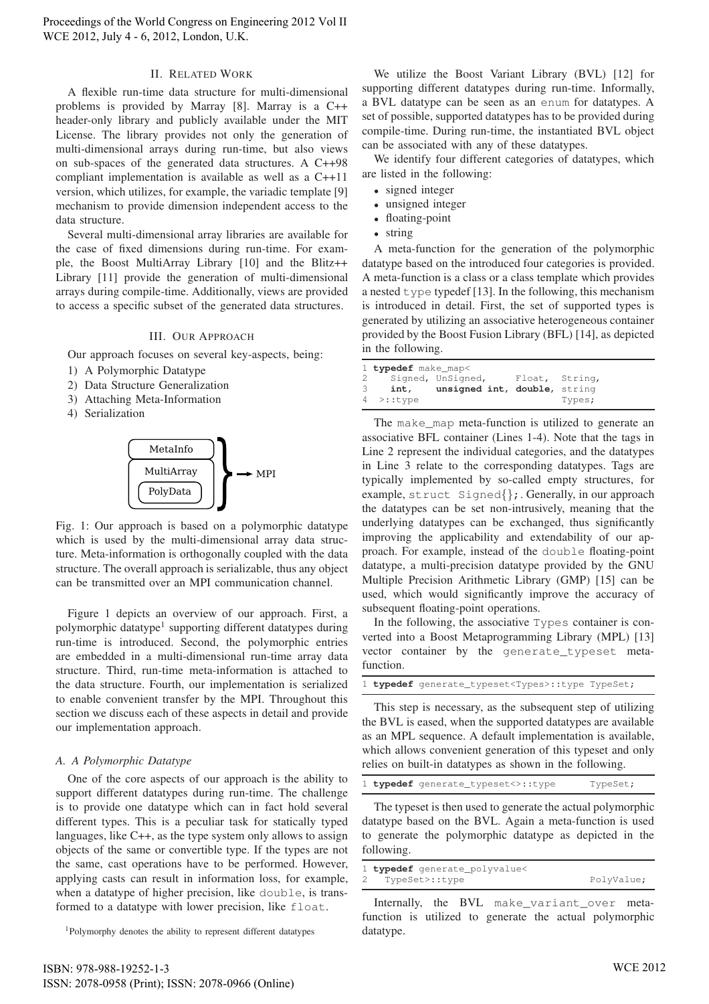## II. RELATED WORK

A flexible run-time data structure for multi-dimensional problems is provided by Marray [8]. Marray is a C++ header-only library and publicly available under the MIT License. The library provides not only the generation of multi-dimensional arrays during run-time, but also views on sub-spaces of the generated data structures. A C++98 compliant implementation is available as well as a C++11 version, which utilizes, for example, the variadic template [9] mechanism to provide dimension independent access to the data structure.

Several multi-dimensional array libraries are available for the case of fixed dimensions during run-time. For example, the Boost MultiArray Library [10] and the Blitz++ Library [11] provide the generation of multi-dimensional arrays during compile-time. Additionally, views are provided to access a specific subset of the generated data structures.

## III. OUR APPROACH

Our approach focuses on several key-aspects, being:

- 1) A Polymorphic Datatype
- 2) Data Structure Generalization
- 3) Attaching Meta-Information
- 4) Serialization



Fig. 1: Our approach is based on a polymorphic datatype which is used by the multi-dimensional array data structure. Meta-information is orthogonally coupled with the data structure. The overall approach is serializable, thus any object can be transmitted over an MPI communication channel.

Figure 1 depicts an overview of our approach. First, a polymorphic datatype<sup>1</sup> supporting different datatypes during run-time is introduced. Second, the polymorphic entries are embedded in a multi-dimensional run-time array data structure. Third, run-time meta-information is attached to the data structure. Fourth, our implementation is serialized to enable convenient transfer by the MPI. Throughout this section we discuss each of these aspects in detail and provide our implementation approach.

#### *A. A Polymorphic Datatype*

One of the core aspects of our approach is the ability to support different datatypes during run-time. The challenge is to provide one datatype which can in fact hold several different types. This is a peculiar task for statically typed languages, like C++, as the type system only allows to assign objects of the same or convertible type. If the types are not the same, cast operations have to be performed. However, applying casts can result in information loss, for example, when a datatype of higher precision, like double, is transformed to a datatype with lower precision, like float.

<sup>1</sup>Polymorphy denotes the ability to represent different datatypes

We utilize the Boost Variant Library (BVL) [12] for supporting different datatypes during run-time. Informally, a BVL datatype can be seen as an enum for datatypes. A set of possible, supported datatypes has to be provided during compile-time. During run-time, the instantiated BVL object can be associated with any of these datatypes.

We identify four different categories of datatypes, which are listed in the following:

- signed integer
- unsigned integer
- floating-point
- string

A meta-function for the generation of the polymorphic datatype based on the introduced four categories is provided. A meta-function is a class or a class template which provides a nested type typedef [13]. In the following, this mechanism is introduced in detail. First, the set of supported types is generated by utilizing an associative heterogeneous container provided by the Boost Fusion Library (BFL) [14], as depicted in the following.

|             | 1 typedef make_map< |                              |                |        |
|-------------|---------------------|------------------------------|----------------|--------|
| $2^{\circ}$ |                     | Signed, UnSigned,            | Float, String, |        |
| 3           | int,                | unsigned int, double, string |                |        |
|             | $4$ >::type         |                              |                | Types; |

The make\_map meta-function is utilized to generate an associative BFL container (Lines 1-4). Note that the tags in Line 2 represent the individual categories, and the datatypes in Line 3 relate to the corresponding datatypes. Tags are typically implemented by so-called empty structures, for example, struct Signed{};. Generally, in our approach the datatypes can be set non-intrusively, meaning that the underlying datatypes can be exchanged, thus significantly improving the applicability and extendability of our approach. For example, instead of the double floating-point datatype, a multi-precision datatype provided by the GNU Multiple Precision Arithmetic Library (GMP) [15] can be used, which would significantly improve the accuracy of subsequent floating-point operations.

In the following, the associative Types container is converted into a Boost Metaprogramming Library (MPL) [13] vector container by the generate\_typeset metafunction.

|  |  | 1 typedef generate_typeset <types>::type TypeSet;</types> |  |  |  |  |  |
|--|--|-----------------------------------------------------------|--|--|--|--|--|
|--|--|-----------------------------------------------------------|--|--|--|--|--|

This step is necessary, as the subsequent step of utilizing the BVL is eased, when the supported datatypes are available as an MPL sequence. A default implementation is available, which allows convenient generation of this typeset and only relies on built-in datatypes as shown in the following.

1 **typedef** generate\_typeset <>:: type TypeSet;

The typeset is then used to generate the actual polymorphic datatype based on the BVL. Again a meta-function is used to generate the polymorphic datatype as depicted in the following.

|   | 1 typedef generate_polyvalue< |            |
|---|-------------------------------|------------|
| 2 | TypeSet>::type                | PolyValue; |

Internally, the BVL make\_variant\_over metafunction is utilized to generate the actual polymorphic datatype.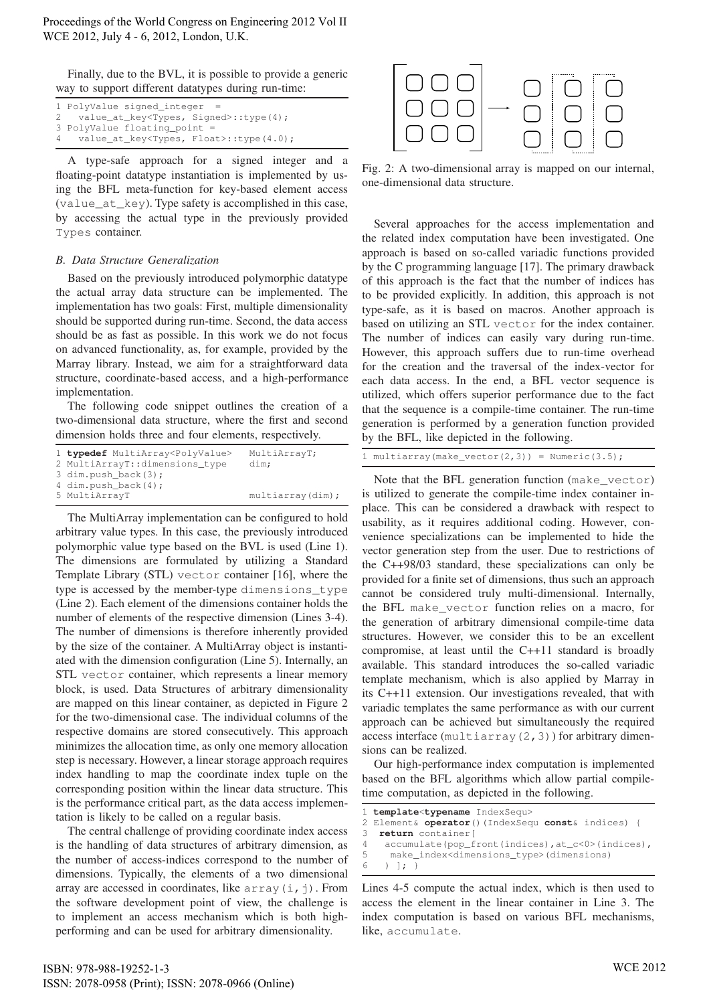Finally, due to the BVL, it is possible to provide a generic way to support different datatypes during run-time:

```
1 PolyValue signed_integer
2 value_at_key<Types, Signed>::type(4);
3 PolyValue floating point
4 value_at_key<Types, Float>::type(4.0);
```
A type-safe approach for a signed integer and a floating-point datatype instantiation is implemented by using the BFL meta-function for key-based element access (value\_at\_key). Type safety is accomplished in this case, by accessing the actual type in the previously provided Types container.

#### *B. Data Structure Generalization*

Based on the previously introduced polymorphic datatype the actual array data structure can be implemented. The implementation has two goals: First, multiple dimensionality should be supported during run-time. Second, the data access should be as fast as possible. In this work we do not focus on advanced functionality, as, for example, provided by the Marray library. Instead, we aim for a straightforward data structure, coordinate-based access, and a high-performance implementation.

The following code snippet outlines the creation of a two-dimensional data structure, where the first and second dimension holds three and four elements, respectively.

| 1 typedef MultiArray <polyvalue></polyvalue> | MultiArrayT;     |
|----------------------------------------------|------------------|
| 2 MultiArrayT::dimensions_type               | dim;             |
| 3 dim.push_back(3);                          |                  |
| 4 dim.push_back $(4)$ ;                      |                  |
| 5 MultiArrayT                                | multiarray(dim); |

The MultiArray implementation can be configured to hold arbitrary value types. In this case, the previously introduced polymorphic value type based on the BVL is used (Line 1). The dimensions are formulated by utilizing a Standard Template Library (STL) vector container [16], where the type is accessed by the member-type dimensions\_type (Line 2). Each element of the dimensions container holds the number of elements of the respective dimension (Lines 3-4). The number of dimensions is therefore inherently provided by the size of the container. A MultiArray object is instantiated with the dimension configuration (Line 5). Internally, an STL vector container, which represents a linear memory block, is used. Data Structures of arbitrary dimensionality are mapped on this linear container, as depicted in Figure 2 for the two-dimensional case. The individual columns of the respective domains are stored consecutively. This approach minimizes the allocation time, as only one memory allocation step is necessary. However, a linear storage approach requires index handling to map the coordinate index tuple on the corresponding position within the linear data structure. This is the performance critical part, as the data access implementation is likely to be called on a regular basis.

The central challenge of providing coordinate index access is the handling of data structures of arbitrary dimension, as the number of access-indices correspond to the number of dimensions. Typically, the elements of a two dimensional array are accessed in coordinates, like  $\arctan(x, j)$ . From the software development point of view, the challenge is to implement an access mechanism which is both highperforming and can be used for arbitrary dimensionality.



Fig. 2: A two-dimensional array is mapped on our internal, one-dimensional data structure.

Several approaches for the access implementation and the related index computation have been investigated. One approach is based on so-called variadic functions provided by the C programming language [17]. The primary drawback of this approach is the fact that the number of indices has to be provided explicitly. In addition, this approach is not type-safe, as it is based on macros. Another approach is based on utilizing an STL vector for the index container. The number of indices can easily vary during run-time. However, this approach suffers due to run-time overhead for the creation and the traversal of the index-vector for each data access. In the end, a BFL vector sequence is utilized, which offers superior performance due to the fact that the sequence is a compile-time container. The run-time generation is performed by a generation function provided by the BFL, like depicted in the following.

| 1 multiarray(make_vector(2,3)) = Numeric(3.5); |  |
|------------------------------------------------|--|
|                                                |  |

Note that the BFL generation function (make\_vector) is utilized to generate the compile-time index container inplace. This can be considered a drawback with respect to usability, as it requires additional coding. However, convenience specializations can be implemented to hide the vector generation step from the user. Due to restrictions of the C++98/03 standard, these specializations can only be provided for a finite set of dimensions, thus such an approach cannot be considered truly multi-dimensional. Internally, the BFL make\_vector function relies on a macro, for the generation of arbitrary dimensional compile-time data structures. However, we consider this to be an excellent compromise, at least until the C++11 standard is broadly available. This standard introduces the so-called variadic template mechanism, which is also applied by Marray in its C++11 extension. Our investigations revealed, that with variadic templates the same performance as with our current approach can be achieved but simultaneously the required access interface (multiarray(2,3)) for arbitrary dimensions can be realized.

Our high-performance index computation is implemented based on the BFL algorithms which allow partial compiletime computation, as depicted in the following.

| 1 template <typename indexsequ=""></typename>                  |
|----------------------------------------------------------------|
| 2 Element& operator()(IndexSequ const& indices) {              |
| 3 return container                                             |
| 4 accumulate(pop_front(indices), at_c<0>(indices),             |
| make index <dimensions type="">(dimensions)<br/>5</dimensions> |
| 6 ) 1: }                                                       |

Lines 4-5 compute the actual index, which is then used to access the element in the linear container in Line 3. The index computation is based on various BFL mechanisms, like, accumulate.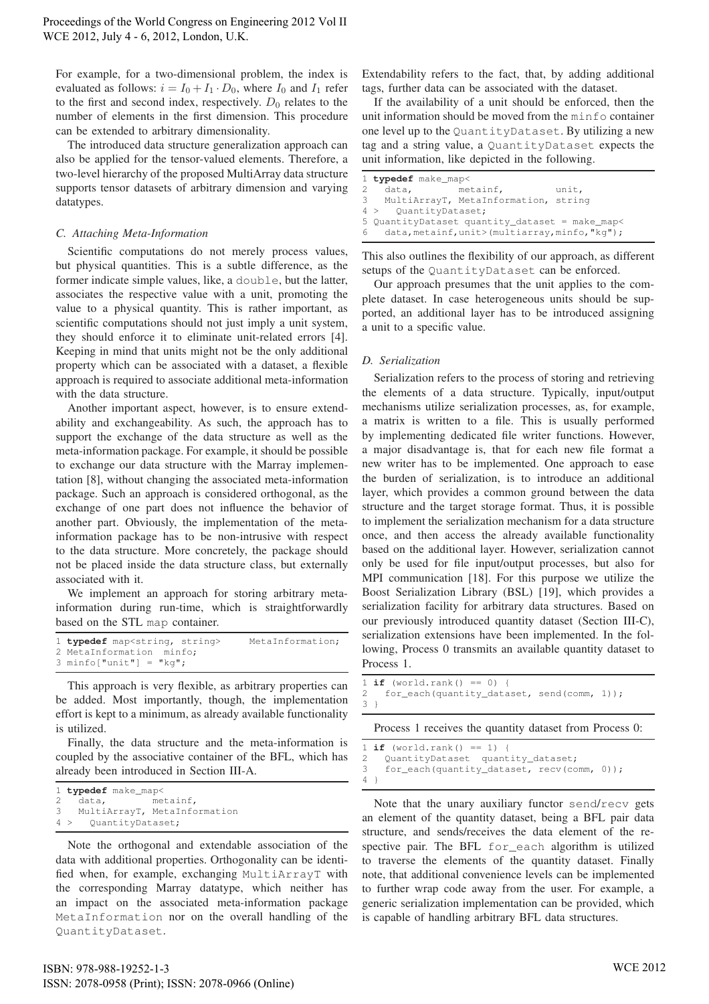For example, for a two-dimensional problem, the index is evaluated as follows:  $i = I_0 + I_1 \cdot D_0$ , where  $I_0$  and  $I_1$  refer to the first and second index, respectively.  $D_0$  relates to the number of elements in the first dimension. This procedure can be extended to arbitrary dimensionality.

The introduced data structure generalization approach can also be applied for the tensor-valued elements. Therefore, a two-level hierarchy of the proposed MultiArray data structure supports tensor datasets of arbitrary dimension and varying datatypes.

### *C. Attaching Meta-Information*

Scientific computations do not merely process values, but physical quantities. This is a subtle difference, as the former indicate simple values, like, a double, but the latter, associates the respective value with a unit, promoting the value to a physical quantity. This is rather important, as scientific computations should not just imply a unit system, they should enforce it to eliminate unit-related errors [4]. Keeping in mind that units might not be the only additional property which can be associated with a dataset, a flexible approach is required to associate additional meta-information with the data structure.

Another important aspect, however, is to ensure extendability and exchangeability. As such, the approach has to support the exchange of the data structure as well as the meta-information package. For example, it should be possible to exchange our data structure with the Marray implementation [8], without changing the associated meta-information package. Such an approach is considered orthogonal, as the exchange of one part does not influence the behavior of another part. Obviously, the implementation of the metainformation package has to be non-intrusive with respect to the data structure. More concretely, the package should not be placed inside the data structure class, but externally associated with it.

We implement an approach for storing arbitrary metainformation during run-time, which is straightforwardly based on the STL map container.

| 1 typedef map <string, string=""></string,> | MetaInformation: |
|---------------------------------------------|------------------|
| 2 MetaInformation minfo:                    |                  |
| $3 \text{ minfo}$ ["unit"] = "kq";          |                  |

This approach is very flexible, as arbitrary properties can be added. Most importantly, though, the implementation effort is kept to a minimum, as already available functionality is utilized.

Finally, the data structure and the meta-information is coupled by the associative container of the BFL, which has already been introduced in Section III-A.

```
1 typedef make_map<
2 data, metainf,
3 MultiArrayT, MetaInformation
4 > QuantityDataset;
```
Note the orthogonal and extendable association of the data with additional properties. Orthogonality can be identified when, for example, exchanging MultiArrayT with the corresponding Marray datatype, which neither has an impact on the associated meta-information package MetaInformation nor on the overall handling of the QuantityDataset.

Extendability refers to the fact, that, by adding additional tags, further data can be associated with the dataset.

If the availability of a unit should be enforced, then the unit information should be moved from the minfo container one level up to the QuantityDataset. By utilizing a new tag and a string value, a QuantityDataset expects the unit information, like depicted in the following.

|     | 1 typedef make_map<  |                                                |       |
|-----|----------------------|------------------------------------------------|-------|
| -2. | data,                | metainf,                                       | unit, |
|     |                      | 3 MultiArrayT, MetaInformation, string         |       |
|     | 4 > OuantityDataset; |                                                |       |
|     |                      | 5 QuantityDataset quantity_dataset = make_map< |       |
| 6   |                      | data, metainf, unit>(multiarray, minfo, "kq"); |       |

This also outlines the flexibility of our approach, as different setups of the QuantityDataset can be enforced.

Our approach presumes that the unit applies to the complete dataset. In case heterogeneous units should be supported, an additional layer has to be introduced assigning a unit to a specific value.

### *D. Serialization*

Serialization refers to the process of storing and retrieving the elements of a data structure. Typically, input/output mechanisms utilize serialization processes, as, for example, a matrix is written to a file. This is usually performed by implementing dedicated file writer functions. However, a major disadvantage is, that for each new file format a new writer has to be implemented. One approach to ease the burden of serialization, is to introduce an additional layer, which provides a common ground between the data structure and the target storage format. Thus, it is possible to implement the serialization mechanism for a data structure once, and then access the already available functionality based on the additional layer. However, serialization cannot only be used for file input/output processes, but also for MPI communication [18]. For this purpose we utilize the Boost Serialization Library (BSL) [19], which provides a serialization facility for arbitrary data structures. Based on our previously introduced quantity dataset (Section III-C), serialization extensions have been implemented. In the following, Process 0 transmits an available quantity dataset to Process 1.

```
1 if (world.rank() == 0) {
2 for_each(quantity_dataset, send(comm, 1));
\overline{3}
```
Process 1 receives the quantity dataset from Process 0:

```
1 if (world.rank() == 1)
2 QuantityDataset quantity_dataset;<br>3 for each(quantity_dataset_recy(co
     for_each(quantity_dataset, recv(comm, 0));
4 }
```
Note that the unary auxiliary functor send/recv gets an element of the quantity dataset, being a BFL pair data structure, and sends/receives the data element of the respective pair. The BFL for each algorithm is utilized to traverse the elements of the quantity dataset. Finally note, that additional convenience levels can be implemented to further wrap code away from the user. For example, a generic serialization implementation can be provided, which is capable of handling arbitrary BFL data structures.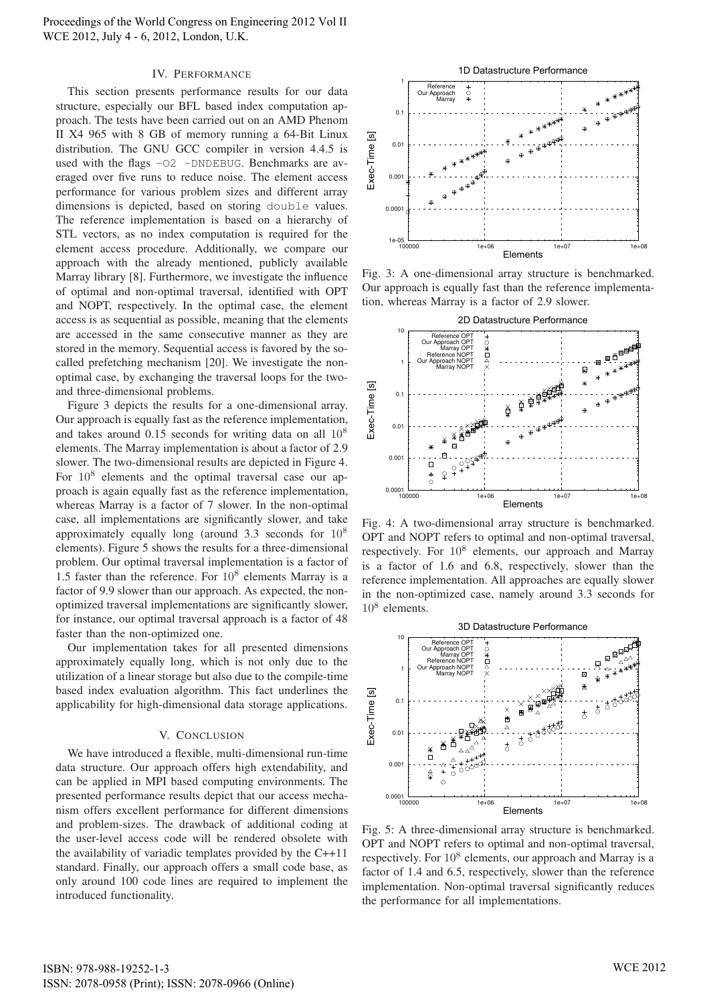### IV. PERFORMANCE

This section presents performance results for our data structure, especially our BFL based index computation approach. The tests have been carried out on an AMD Phenom II X4 965 with 8 GB of memory running a 64-Bit Linux distribution. The GNU GCC compiler in version 4.4.5 is used with the flags -O2 -DNDEBUG. Benchmarks are averaged over five runs to reduce noise. The element access performance for various problem sizes and different array dimensions is depicted, based on storing double values. The reference implementation is based on a hierarchy of STL vectors, as no index computation is required for the element access procedure. Additionally, we compare our approach with the already mentioned, publicly available Marray library [8]. Furthermore, we investigate the influence of optimal and non-optimal traversal, identified with OPT and NOPT, respectively. In the optimal case, the element access is as sequential as possible, meaning that the elements are accessed in the same consecutive manner as they are stored in the memory. Sequential access is favored by the socalled prefetching mechanism [20]. We investigate the nonoptimal case, by exchanging the traversal loops for the twoand three-dimensional problems.

Figure 3 depicts the results for a one-dimensional array. Our approach is equally fast as the reference implementation, and takes around  $0.15$  seconds for writing data on all  $10<sup>8</sup>$ elements. The Marray implementation is about a factor of 2.9 slower. The two-dimensional results are depicted in Figure 4. For  $10^8$  elements and the optimal traversal case our approach is again equally fast as the reference implementation, whereas Marray is a factor of 7 slower. In the non-optimal case, all implementations are significantly slower, and take approximately equally long (around  $3.3$  seconds for  $10^8$ ) elements). Figure 5 shows the results for a three-dimensional problem. Our optimal traversal implementation is a factor of 1.5 faster than the reference. For  $10^8$  elements Marray is a factor of 9.9 slower than our approach. As expected, the nonoptimized traversal implementations are significantly slower, for instance, our optimal traversal approach is a factor of 48 faster than the non-optimized one.

Our implementation takes for all presented dimensions approximately equally long, which is not only due to the utilization of a linear storage but also due to the compile-time based index evaluation algorithm. This fact underlines the applicability for high-dimensional data storage applications.

## V. CONCLUSION

We have introduced a flexible, multi-dimensional run-time data structure. Our approach offers high extendability, and can be applied in MPI based computing environments. The presented performance results depict that our access mechanism offers excellent performance for different dimensions and problem-sizes. The drawback of additional coding at the user-level access code will be rendered obsolete with the availability of variadic templates provided by the C++11 standard. Finally, our approach offers a small code base, as only around 100 code lines are required to implement the introduced functionality.



Fig. 3: A one-dimensional array structure is benchmarked. Our approach is equally fast than the reference implementation, whereas Marray is a factor of 2.9 slower.



Fig. 4: A two-dimensional array structure is benchmarked. OPT and NOPT refers to optimal and non-optimal traversal, respectively. For 10<sup>8</sup> elements, our approach and Marray is a factor of 1.6 and 6.8, respectively, slower than the reference implementation. All approaches are equally slower in the non-optimized case, namely around 3.3 seconds for  $10^8$  elements.



Fig. 5: A three-dimensional array structure is benchmarked. OPT and NOPT refers to optimal and non-optimal traversal, respectively. For 10<sup>8</sup> elements, our approach and Marray is a factor of 1.4 and 6.5, respectively, slower than the reference implementation. Non-optimal traversal significantly reduces the performance for all implementations.